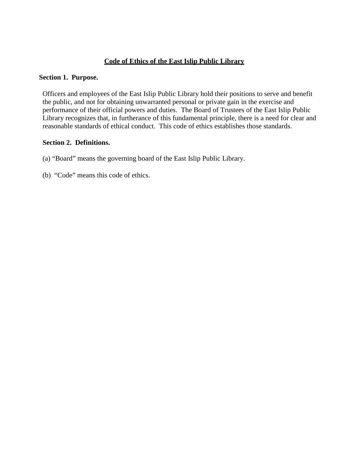# **Code of Ethics of the East Islip Public Library**

#### **Section 1. Purpose.**

Officers and employees of the East Islip Public Library hold their positions to serve and benefit the public, and not for obtaining unwarranted personal or private gain in the exercise and performance of their official powers and duties. The Board of Trustees of the East Islip Public Library recognizes that, in furtherance of this fundamental principle, there is a need for clear and reasonable standards of ethical conduct. This code of ethics establishes those standards.

#### **Section 2. Definitions.**

- (a) "Board" means the governing board of the East Islip Public Library.
- (b) "Code" means this code of ethics.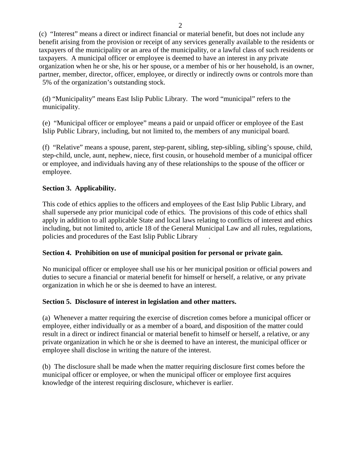(c) "Interest" means a direct or indirect financial or material benefit, but does not include any benefit arising from the provision or receipt of any services generally available to the residents or taxpayers of the municipality or an area of the municipality, or a lawful class of such residents or taxpayers. A municipal officer or employee is deemed to have an interest in any private organization when he or she, his or her spouse, or a member of his or her household, is an owner, partner, member, director, officer, employee, or directly or indirectly owns or controls more than 5% of the organization's outstanding stock.

(d) "Municipality" means East Islip Public Library. The word "municipal" refers to the municipality.

(e) "Municipal officer or employee" means a paid or unpaid officer or employee of the East Islip Public Library, including, but not limited to, the members of any municipal board.

(f) "Relative" means a spouse, parent, step-parent, sibling, step-sibling, sibling's spouse, child, step-child, uncle, aunt, nephew, niece, first cousin, or household member of a municipal officer or employee, and individuals having any of these relationships to the spouse of the officer or employee.

# **Section 3. Applicability.**

This code of ethics applies to the officers and employees of the East Islip Public Library, and shall supersede any prior municipal code of ethics. The provisions of this code of ethics shall apply in addition to all applicable State and local laws relating to conflicts of interest and ethics including, but not limited to, article 18 of the General Municipal Law and all rules, regulations, policies and procedures of the East Islip Public Library .

# **Section 4. Prohibition on use of municipal position for personal or private gain.**

No municipal officer or employee shall use his or her municipal position or official powers and duties to secure a financial or material benefit for himself or herself, a relative, or any private organization in which he or she is deemed to have an interest.

# **Section 5. Disclosure of interest in legislation and other matters.**

(a) Whenever a matter requiring the exercise of discretion comes before a municipal officer or employee, either individually or as a member of a board, and disposition of the matter could result in a direct or indirect financial or material benefit to himself or herself, a relative, or any private organization in which he or she is deemed to have an interest, the municipal officer or employee shall disclose in writing the nature of the interest.

(b) The disclosure shall be made when the matter requiring disclosure first comes before the municipal officer or employee, or when the municipal officer or employee first acquires knowledge of the interest requiring disclosure, whichever is earlier.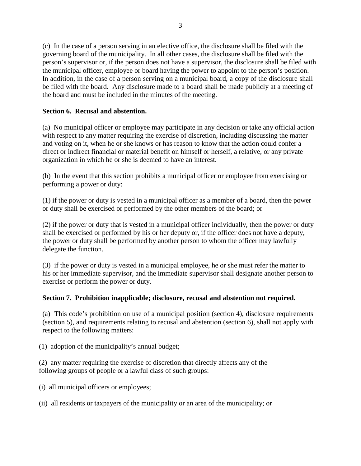(c) In the case of a person serving in an elective office, the disclosure shall be filed with the governing board of the municipality. In all other cases, the disclosure shall be filed with the person's supervisor or, if the person does not have a supervisor, the disclosure shall be filed with the municipal officer, employee or board having the power to appoint to the person's position. In addition, in the case of a person serving on a municipal board, a copy of the disclosure shall be filed with the board. Any disclosure made to a board shall be made publicly at a meeting of the board and must be included in the minutes of the meeting.

### **Section 6. Recusal and abstention.**

(a) No municipal officer or employee may participate in any decision or take any official action with respect to any matter requiring the exercise of discretion, including discussing the matter and voting on it, when he or she knows or has reason to know that the action could confer a direct or indirect financial or material benefit on himself or herself, a relative, or any private organization in which he or she is deemed to have an interest.

(b) In the event that this section prohibits a municipal officer or employee from exercising or performing a power or duty:

(1) if the power or duty is vested in a municipal officer as a member of a board, then the power or duty shall be exercised or performed by the other members of the board; or

(2) if the power or duty that is vested in a municipal officer individually, then the power or duty shall be exercised or performed by his or her deputy or, if the officer does not have a deputy, the power or duty shall be performed by another person to whom the officer may lawfully delegate the function.

(3) if the power or duty is vested in a municipal employee, he or she must refer the matter to his or her immediate supervisor, and the immediate supervisor shall designate another person to exercise or perform the power or duty.

# **Section 7. Prohibition inapplicable; disclosure, recusal and abstention not required.**

(a) This code's prohibition on use of a municipal position (section 4), disclosure requirements (section 5), and requirements relating to recusal and abstention (section 6), shall not apply with respect to the following matters:

(1) adoption of the municipality's annual budget;

(2) any matter requiring the exercise of discretion that directly affects any of the following groups of people or a lawful class of such groups:

(i) all municipal officers or employees;

(ii) all residents or taxpayers of the municipality or an area of the municipality; or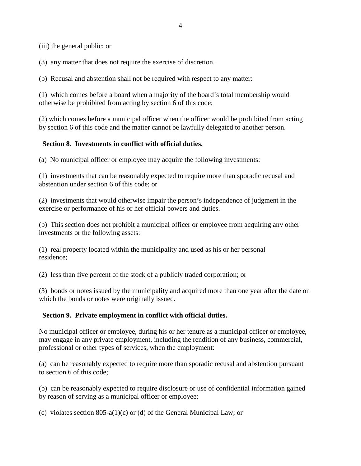(iii) the general public; or

(3) any matter that does not require the exercise of discretion.

(b) Recusal and abstention shall not be required with respect to any matter:

(1) which comes before a board when a majority of the board's total membership would otherwise be prohibited from acting by section 6 of this code;

(2) which comes before a municipal officer when the officer would be prohibited from acting by section 6 of this code and the matter cannot be lawfully delegated to another person.

### **Section 8. Investments in conflict with official duties.**

(a) No municipal officer or employee may acquire the following investments:

(1) investments that can be reasonably expected to require more than sporadic recusal and abstention under section 6 of this code; or

(2) investments that would otherwise impair the person's independence of judgment in the exercise or performance of his or her official powers and duties.

(b) This section does not prohibit a municipal officer or employee from acquiring any other investments or the following assets:

(1) real property located within the municipality and used as his or her personal residence;

(2) less than five percent of the stock of a publicly traded corporation; or

(3) bonds or notes issued by the municipality and acquired more than one year after the date on which the bonds or notes were originally issued.

# **Section 9. Private employment in conflict with official duties.**

No municipal officer or employee, during his or her tenure as a municipal officer or employee, may engage in any private employment, including the rendition of any business, commercial, professional or other types of services, when the employment:

(a) can be reasonably expected to require more than sporadic recusal and abstention pursuant to section 6 of this code;

(b) can be reasonably expected to require disclosure or use of confidential information gained by reason of serving as a municipal officer or employee;

(c) violates section 805-a(1)(c) or (d) of the General Municipal Law; or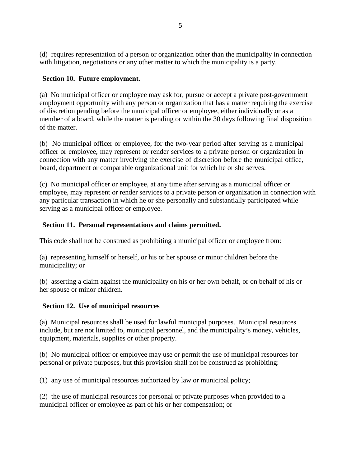(d) requires representation of a person or organization other than the municipality in connection with litigation, negotiations or any other matter to which the municipality is a party.

# **Section 10. Future employment.**

(a) No municipal officer or employee may ask for, pursue or accept a private post-government employment opportunity with any person or organization that has a matter requiring the exercise of discretion pending before the municipal officer or employee, either individually or as a member of a board, while the matter is pending or within the 30 days following final disposition of the matter.

(b) No municipal officer or employee, for the two-year period after serving as a municipal officer or employee, may represent or render services to a private person or organization in connection with any matter involving the exercise of discretion before the municipal office, board, department or comparable organizational unit for which he or she serves.

(c) No municipal officer or employee, at any time after serving as a municipal officer or employee, may represent or render services to a private person or organization in connection with any particular transaction in which he or she personally and substantially participated while serving as a municipal officer or employee.

# **Section 11. Personal representations and claims permitted.**

This code shall not be construed as prohibiting a municipal officer or employee from:

(a) representing himself or herself, or his or her spouse or minor children before the municipality; or

(b) asserting a claim against the municipality on his or her own behalf, or on behalf of his or her spouse or minor children.

# **Section 12. Use of municipal resources**

(a) Municipal resources shall be used for lawful municipal purposes. Municipal resources include, but are not limited to, municipal personnel, and the municipality's money, vehicles, equipment, materials, supplies or other property.

(b) No municipal officer or employee may use or permit the use of municipal resources for personal or private purposes, but this provision shall not be construed as prohibiting:

(1) any use of municipal resources authorized by law or municipal policy;

(2) the use of municipal resources for personal or private purposes when provided to a municipal officer or employee as part of his or her compensation; or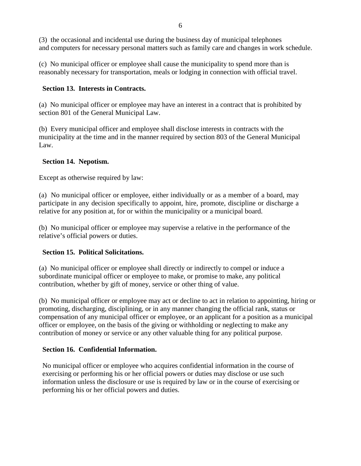(3) the occasional and incidental use during the business day of municipal telephones and computers for necessary personal matters such as family care and changes in work schedule.

(c) No municipal officer or employee shall cause the municipality to spend more than is reasonably necessary for transportation, meals or lodging in connection with official travel.

### **Section 13. Interests in Contracts.**

(a) No municipal officer or employee may have an interest in a contract that is prohibited by section 801 of the General Municipal Law.

(b) Every municipal officer and employee shall disclose interests in contracts with the municipality at the time and in the manner required by section 803 of the General Municipal Law.

### **Section 14. Nepotism.**

Except as otherwise required by law:

(a) No municipal officer or employee, either individually or as a member of a board, may participate in any decision specifically to appoint, hire, promote, discipline or discharge a relative for any position at, for or within the municipality or a municipal board.

(b) No municipal officer or employee may supervise a relative in the performance of the relative's official powers or duties.

# **Section 15. Political Solicitations.**

(a) No municipal officer or employee shall directly or indirectly to compel or induce a subordinate municipal officer or employee to make, or promise to make, any political contribution, whether by gift of money, service or other thing of value.

(b) No municipal officer or employee may act or decline to act in relation to appointing, hiring or promoting, discharging, disciplining, or in any manner changing the official rank, status or compensation of any municipal officer or employee, or an applicant for a position as a municipal officer or employee, on the basis of the giving or withholding or neglecting to make any contribution of money or service or any other valuable thing for any political purpose.

# **Section 16. Confidential Information.**

No municipal officer or employee who acquires confidential information in the course of exercising or performing his or her official powers or duties may disclose or use such information unless the disclosure or use is required by law or in the course of exercising or performing his or her official powers and duties.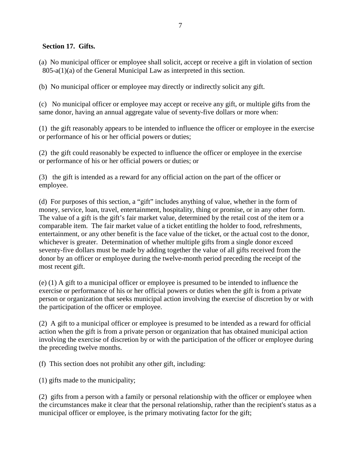### **Section 17. Gifts.**

(a) No municipal officer or employee shall solicit, accept or receive a gift in violation of section 805-a(1)(a) of the General Municipal Law as interpreted in this section.

(b) No municipal officer or employee may directly or indirectly solicit any gift.

(c) No municipal officer or employee may accept or receive any gift, or multiple gifts from the same donor, having an annual aggregate value of seventy-five dollars or more when:

(1) the gift reasonably appears to be intended to influence the officer or employee in the exercise or performance of his or her official powers or duties;

(2) the gift could reasonably be expected to influence the officer or employee in the exercise or performance of his or her official powers or duties; or

(3) the gift is intended as a reward for any official action on the part of the officer or employee.

(d) For purposes of this section, a "gift" includes anything of value, whether in the form of money, service, loan, travel, entertainment, hospitality, thing or promise, or in any other form. The value of a gift is the gift's fair market value, determined by the retail cost of the item or a comparable item. The fair market value of a ticket entitling the holder to food, refreshments, entertainment, or any other benefit is the face value of the ticket, or the actual cost to the donor, whichever is greater. Determination of whether multiple gifts from a single donor exceed seventy-five dollars must be made by adding together the value of all gifts received from the donor by an officer or employee during the twelve-month period preceding the receipt of the most recent gift.

(e) (1) A gift to a municipal officer or employee is presumed to be intended to influence the exercise or performance of his or her official powers or duties when the gift is from a private person or organization that seeks municipal action involving the exercise of discretion by or with the participation of the officer or employee.

(2) A gift to a municipal officer or employee is presumed to be intended as a reward for official action when the gift is from a private person or organization that has obtained municipal action involving the exercise of discretion by or with the participation of the officer or employee during the preceding twelve months.

(f) This section does not prohibit any other gift, including:

(1) gifts made to the municipality;

(2) gifts from a person with a family or personal relationship with the officer or employee when the circumstances make it clear that the personal relationship, rather than the recipient's status as a municipal officer or employee, is the primary motivating factor for the gift;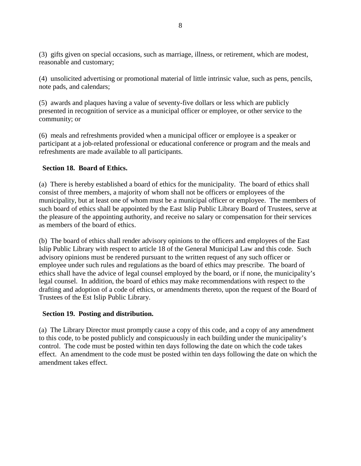(3) gifts given on special occasions, such as marriage, illness, or retirement, which are modest, reasonable and customary;

(4) unsolicited advertising or promotional material of little intrinsic value, such as pens, pencils, note pads, and calendars;

(5) awards and plaques having a value of seventy-five dollars or less which are publicly presented in recognition of service as a municipal officer or employee, or other service to the community; or

(6) meals and refreshments provided when a municipal officer or employee is a speaker or participant at a job-related professional or educational conference or program and the meals and refreshments are made available to all participants.

# **Section 18. Board of Ethics.**

(a) There is hereby established a board of ethics for the municipality. The board of ethics shall consist of three members, a majority of whom shall not be officers or employees of the municipality, but at least one of whom must be a municipal officer or employee. The members of such board of ethics shall be appointed by the East Islip Public Library Board of Trustees, serve at the pleasure of the appointing authority, and receive no salary or compensation for their services as members of the board of ethics.

(b) The board of ethics shall render advisory opinions to the officers and employees of the East Islip Public Library with respect to article 18 of the General Municipal Law and this code. Such advisory opinions must be rendered pursuant to the written request of any such officer or employee under such rules and regulations as the board of ethics may prescribe. The board of ethics shall have the advice of legal counsel employed by the board, or if none, the municipality's legal counsel. In addition, the board of ethics may make recommendations with respect to the drafting and adoption of a code of ethics, or amendments thereto, upon the request of the Board of Trustees of the Est Islip Public Library.

# **Section 19. Posting and distribution.**

(a) The Library Director must promptly cause a copy of this code, and a copy of any amendment to this code, to be posted publicly and conspicuously in each building under the municipality's control. The code must be posted within ten days following the date on which the code takes effect. An amendment to the code must be posted within ten days following the date on which the amendment takes effect.